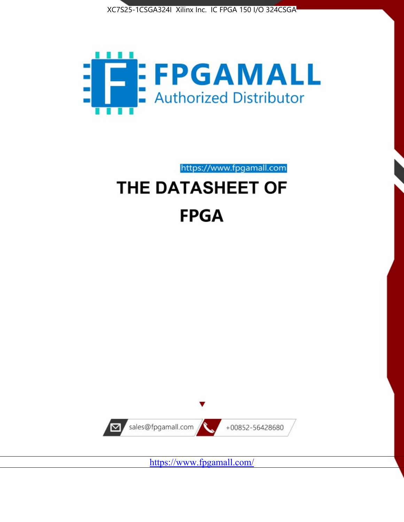



https://www.fpgamall.com

# THE DATASHEET OF **FPGA**



<https://www.fpgamall.com/>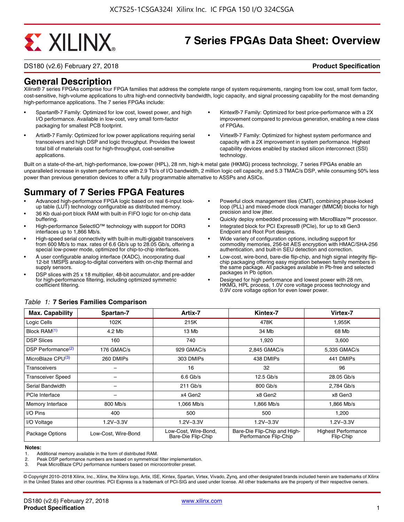# **EXALINX**

## **7 Series FPGAs Data Sheet: Overview**

DS180 (v2.6) February 27, 2018 **Product Specification**

### **General Description**

Xilinx® 7 series FPGAs comprise four FPGA families that address the complete range of system requirements, ranging from low cost, small form factor, cost-sensitive, high-volume applications to ultra high-end connectivity bandwidth, logic capacity, and signal processing capability for the most demanding high-performance applications. The 7 series FPGAs include:

- Spartan®-7 Family: Optimized for low cost, lowest power, and high I/O performance. Available in low-cost, very small form-factor packaging for smallest PCB footprint.
- Artix®-7 Family: Optimized for low power applications requiring serial transceivers and high DSP and logic throughput. Provides the lowest total bill of materials cost for high-throughput, cost-sensitive applications.
- Kintex®-7 Family: Optimized for best price-performance with a 2X improvement compared to previous generation, enabling a new class of FPGAs.
- Virtex®-7 Family: Optimized for highest system performance and capacity with a 2X improvement in system performance. Highest capability devices enabled by stacked silicon interconnect (SSI) technology

Built on a state-of-the-art, high-performance, low-power (HPL), 28 nm, high-k metal gate (HKMG) process technology, 7 series FPGAs enable an unparalleled increase in system performance with 2.9 Tb/s of I/O bandwidth, 2 million logic cell capacity, and 5.3 TMAC/s DSP, while consuming 50% less power than previous generation devices to offer a fully programmable alternative to ASSPs and ASICs.

### **Summary of 7 Series FPGA Features**

- Advanced high-performance FPGA logic based on real 6-input lookup table (LUT) technology configurable as distributed memory.
- 36 Kb dual-port block RAM with built-in FIFO logic for on-chip data buffering.
- High-performance SelectIO™ technology with support for DDR3 interfaces up to 1,866 Mb/s.
- High-speed serial connectivity with built-in multi-gigabit transceivers from 600 Mb/s to max. rates of 6.6 Gb/s up to 28.05 Gb/s, offering a special low-power mode, optimized for chip-to-chip interfaces.
- A user configurable analog interface (XADC), incorporating dual 12-bit 1MSPS analog-to-digital converters with on-chip thermal and supply sensors.
- DSP slices with 25 x 18 multiplier, 48-bit accumulator, and pre-adder for high-performance filtering, including optimized symmetric coefficient filtering.
- Powerful clock management tiles (CMT), combining phase-locked loop (PLL) and mixed-mode clock manager (MMCM) blocks for high precision and low jitter.
- Quickly deploy embedded processing with MicroBlaze™ processor.
- Integrated block for PCI Express® (PCIe), for up to x8 Gen3 Endpoint and Root Port designs.
- Wide variety of configuration options, including support for commodity memories, 256-bit AES encryption with HMAC/SHA-256 authentication, and built-in SEU detection and correction.
- Low-cost, wire-bond, bare-die flip-chip, and high signal integrity flipchip packaging offering easy migration between family members in the same package. All packages available in Pb-free and selected packages in Pb option.
- Designed for high performance and lowest power with 28 nm, HKMG, HPL process, 1.0V core voltage process technology and 0.9V core voltage option for even lower power.

| <b>Max. Capability</b>         | Spartan-7           | Artix-7                                    | Kintex-7                                              | Virtex-7                                |
|--------------------------------|---------------------|--------------------------------------------|-------------------------------------------------------|-----------------------------------------|
| Logic Cells                    | 102K                | 215K                                       | 478K                                                  | 1,955K                                  |
| Block RAM <sup>(1)</sup>       | 4.2 Mb              | 13 Mb                                      | 34 Mb                                                 | 68 Mb                                   |
| <b>DSP Slices</b>              | 160                 | 740                                        | 1,920                                                 | 3,600                                   |
| DSP Performance <sup>(2)</sup> | 176 GMAC/s          | 929 GMAC/s                                 | 2,845 GMAC/s                                          | 5,335 GMAC/s                            |
| MicroBlaze CPU <sup>(3)</sup>  | 260 DMIPs           | 303 DMIPs                                  | 438 DMIPs                                             | 441 DMIPs                               |
| Transceivers                   |                     | 16                                         | 32                                                    | 96                                      |
| <b>Transceiver Speed</b>       |                     | $6.6$ Gb/s                                 | $12.5$ Gb/s                                           | 28.05 Gb/s                              |
| Serial Bandwidth               |                     | $211$ Gb/s                                 | 800 Gb/s                                              | 2,784 Gb/s                              |
| <b>PCIe Interface</b>          | -                   | x4 Gen2                                    | x8 Gen2                                               | x8 Gen3                                 |
| Memory Interface               | 800 Mb/s            | 1.066 Mb/s                                 | 1.866 Mb/s                                            | 1.866 Mb/s                              |
| I/O Pins                       | 400                 | 500                                        | 500                                                   | 1,200                                   |
| I/O Voltage                    | $1.2V - 3.3V$       | $1.2V - 3.3V$                              | $1.2V - 3.3V$                                         | $1.2V - 3.3V$                           |
| Package Options                | Low-Cost. Wire-Bond | Low-Cost, Wire-Bond,<br>Bare-Die Flip-Chip | Bare-Die Flip-Chip and High-<br>Performance Flip-Chip | <b>Highest Performance</b><br>Flip-Chip |

#### *Table 1:* **7 Series Families Comparison**

#### **Notes:**

1. Additional memory available in the form of distributed RAM.

2. Peak DSP performance numbers are based on symmetrical filter implementation.<br>3. Peak MicroBlaze CPU performance numbers based on microcontroller preset.

Peak MicroBlaze CPU performance numbers based on microcontroller preset.

© Copyright 2010–2018 Xilinx, Inc., Xilinx, the Xilinx logo, Artix, ISE, Kintex, Spartan, Virtex, Vivado, Zynq, and other designated brands included herein are trademarks of Xilinx in the United States and other countries. PCI Express is a trademark of PCI-SIG and used under license. All other trademarks are the property of their respective owners.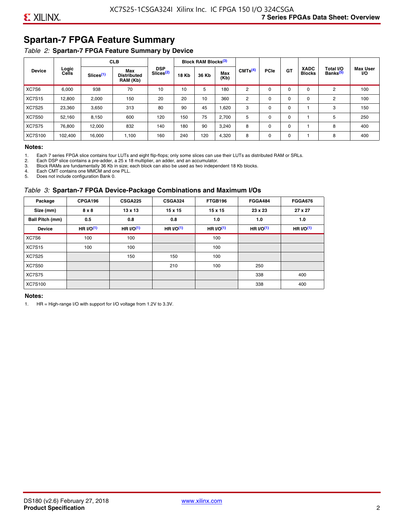### **Spartan-7 FPGA Feature Summary**

#### *Table 2:* **Spartan-7 FPGA Feature Summary by Device**

|               |                |                       | <b>CLB</b>                                                                                                                                                                     |             |     | <b>Block RAM Blocks</b> <sup>(3)</sup> |                                   |                              |          |             |          |   |     |
|---------------|----------------|-----------------------|--------------------------------------------------------------------------------------------------------------------------------------------------------------------------------|-------------|-----|----------------------------------------|-----------------------------------|------------------------------|----------|-------------|----------|---|-----|
| <b>Device</b> | Logic<br>Cells | Slices <sup>(1)</sup> | <b>DSP</b><br>CMTS <sup>(4)</sup><br>Max<br>Slices <sup>(2)</sup><br>Max<br><b>18 Kb</b><br>36 Kb<br><b>Distributed</b><br>(Kb)<br>RAM (Kb)<br>70<br>10<br>5<br>180<br>10<br>2 | <b>PCle</b> | GT  | <b>XADC</b><br><b>Blocks</b>           | Total I/O<br>Banks <sup>(5)</sup> | <b>Max User</b><br><b>VO</b> |          |             |          |   |     |
| XC7S6         | 6,000          | 938                   |                                                                                                                                                                                |             |     |                                        |                                   |                              | $\Omega$ | $\Omega$    | $\Omega$ | 2 | 100 |
| <b>XC7S15</b> | 12,800         | 2,000                 | 150                                                                                                                                                                            | 20          | 20  | 10                                     | 360                               | 2                            | 0        | $\mathbf 0$ | 0        | 2 | 100 |
| <b>XC7S25</b> | 23,360         | 3,650                 | 313                                                                                                                                                                            | 80          | 90  | 45                                     | 1,620                             | 3                            | 0        | 0           |          | 3 | 150 |
| <b>XC7S50</b> | 52,160         | 8,150                 | 600                                                                                                                                                                            | 120         | 150 | 75                                     | 2,700                             | 5                            | $\Omega$ | 0           |          | 5 | 250 |
| <b>XC7S75</b> | 76,800         | 12.000                | 832                                                                                                                                                                            | 140         | 180 | 90                                     | 3,240                             | 8                            | 0        | 0           |          | 8 | 400 |
| XC7S100       | 102,400        | 16,000                | 1,100                                                                                                                                                                          | 160         | 240 | 120                                    | 4,320                             | 8                            | 0        | $\mathbf 0$ |          | 8 | 400 |

#### **Notes:**

1. Each 7 series FPGA slice contains four LUTs and eight flip-flops; only some slices can use their LUTs as distributed RAM or SRLs.<br>2. Each DSP slice contains a pre-adder. a 25 x 18 multiplier. an adder. and an accumulato

2. Each DSP slice contains a pre-adder, a 25 x 18 multiplier, an adder, and an accumulator. 3. Block RAMs are fundamentally 36 Kb in size; each block can also be used as two independent 18 Kb blocks.

4. Each CMT contains one MMCM and one PLL.

5. Does not include configuration Bank 0.

#### *Table 3:* **Spartan-7 FPGA Device-Package Combinations and Maximum I/Os**

| Package         | CPGA196    | <b>CSGA225</b> | <b>CSGA324</b> | FTGB196    | <b>FGGA484</b> | <b>FGGA676</b> |
|-----------------|------------|----------------|----------------|------------|----------------|----------------|
| Size (mm)       | 8 x 8      | 13 x 13        | $15 \times 15$ | 15 x 15    | 23 x 23        | 27 x 27        |
| Ball Pitch (mm) | 0.5        | 0.8            | 0.8            | 1.0        | 1.0            | 1.0            |
| <b>Device</b>   | HR $UO(1)$ | HR $UO(1)$     | HR $UO(1)$     | HR $UO(1)$ | HR $UO(1)$     | HR $l/O(1)$    |
| XC7S6           | 100        | 100            |                | 100        |                |                |
| <b>XC7S15</b>   | 100        | 100            |                | 100        |                |                |
| <b>XC7S25</b>   |            | 150            | 150            | 100        |                |                |
| <b>XC7S50</b>   |            |                | 210            | 100        | 250            |                |
| <b>XC7S75</b>   |            |                |                |            | 338            | 400            |
| <b>XC7S100</b>  |            |                |                |            | 338            | 400            |

#### **Notes:**

1. HR = High-range I/O with support for I/O voltage from 1.2V to 3.3V.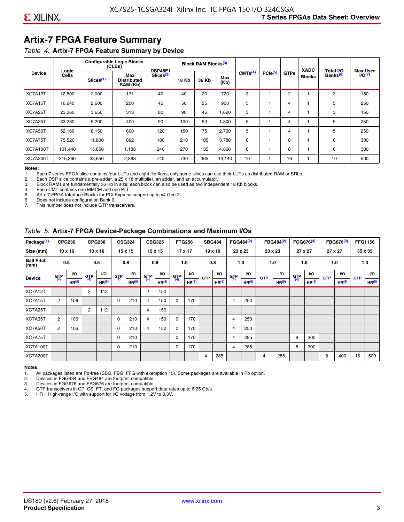### **Artix-7 FPGA Feature Summary**

#### *Table 4:* **Artix-7 FPGA Feature Summary by Device**

|                 |                |                       | <b>Configurable Logic Blocks</b><br>(CLBs) | <b>DSP48E1</b>        |              | Block RAM Blocks <sup>(3)</sup> |             |                     |                     |             | <b>XADC</b>   | Total I/O            | <b>Max User</b>    |
|-----------------|----------------|-----------------------|--------------------------------------------|-----------------------|--------------|---------------------------------|-------------|---------------------|---------------------|-------------|---------------|----------------------|--------------------|
| <b>Device</b>   | Logic<br>Cells | Slices <sup>(1)</sup> | Max<br><b>Distributed</b><br>RAM (Kb)      | Slices <sup>(2)</sup> | <b>18 Kb</b> | 36 Kb                           | Max<br>(Kb) | CMTS <sup>(4)</sup> | PCle <sup>(5)</sup> | <b>GTPs</b> | <b>Blocks</b> | Banks <sup>(6)</sup> | I/O <sub>(7)</sub> |
| XC7A12T         | 12,800         | 2,000                 | 171                                        | 40                    | 40           | 20                              | 720         | 3                   |                     | 2           |               | 3                    | 150                |
| XC7A15T         | 16,640         | 2,600                 | 200                                        | 45                    | 50           | 25                              | 900         | 5                   |                     | 4           |               | 5                    | 250                |
| XC7A25T         | 23,360         | 3,650                 | 313                                        | 80                    | 90           | 45                              | 1,620       | 3                   |                     | 4           |               | 3                    | 150                |
| XC7A35T         | 33,280         | 5,200                 | 400                                        | 90                    | 100          | 50                              | 1,800       | 5                   |                     | 4           |               | 5                    | 250                |
| XC7A50T         | 52,160         | 8,150                 | 600                                        | 120                   | 150          | 75                              | 2.700       | 5                   |                     | 4           |               | 5                    | 250                |
| XC7A75T         | 75,520         | 11,800                | 892                                        | 180                   | 210          | 105                             | 3,780       | 6                   |                     | 8           |               | 6                    | 300                |
| <b>XC7A100T</b> | 101.440        | 15,850                | 1.188                                      | 240                   | 270          | 135                             | 4,860       | 6                   |                     | 8           |               | 6                    | 300                |
| <b>XC7A200T</b> | 215,360        | 33,650                | 2,888                                      | 740                   | 730          | 365                             | 13,140      | 10                  |                     | 16          |               | 10                   | 500                |

**Notes:**  Each 7 series FPGA slice contains four LUTs and eight flip-flops; only some slices can use their LUTs as distributed RAM or SRLs.

2. Each DSP slice contains a pre-adder, a 25 x 18 multiplier, an adder, and an accumulator.

3. Block RAMs are fundamentally 36 Kb in size; each block can also be used as two independent 18 Kb blocks.

4. Each CMT contains one MMCM and one PLL.<br>5. Artix-7 FPGA Interface Blocks for PCI Express

5. Artix-7 FPGA Interface Blocks for PCI Express support up to x4 Gen 2.<br>6. Does not include configuration Bank 0.

6. Does not include configuration Bank 0.

This number does not include GTP transceivers.

#### *Table 5:* **Artix-7 FPGA Device-Package Combinations and Maximum I/Os**

| Package <sup>(1)</sup>    |            | <b>CPG236</b>     |                | <b>CPG238</b>  |            | <b>CSG324</b> |                | <b>CSG325</b>     |       | <b>FTG256</b>     |            | <b>SBG484</b>     |                | FGG484 <sup>(2)</sup> |                | FBG484 <sup>(2)</sup> |       | FGG676 <sup>(3)</sup> |            | FBG676 <sup>(3)</sup> |            | <b>FFG1156</b> |
|---------------------------|------------|-------------------|----------------|----------------|------------|---------------|----------------|-------------------|-------|-------------------|------------|-------------------|----------------|-----------------------|----------------|-----------------------|-------|-----------------------|------------|-----------------------|------------|----------------|
| Size (mm)                 |            | $10 \times 10$    |                | $10 \times 10$ |            | 15 x 15       |                | 15 x 15           |       | $17 \times 17$    |            | $19 \times 19$    |                | 23 x 23               |                | 23 x 23               |       | 27 x 27               |            | 27 x 27               |            | 35 x 35        |
| <b>Ball Pitch</b><br>(mm) |            | 0.5               |                | 0.5            |            | 0.8           | 0.8            |                   |       | 1.0               |            | 0.8               |                | 1.0                   |                | 1.0                   |       | 1.0                   |            | 1.0                   |            | 1.0            |
| <b>Device</b>             | <b>GTP</b> | <b>VO</b>         | <b>GTP</b>     | <b>VO</b>      | <b>GTP</b> | <b>VO</b>     | <b>GTP</b>     | <b>VO</b>         | G(TP) | VO.               | <b>GTP</b> | VO.               | G(TP)          | <b>VO</b>             | <b>GTP</b>     | <b>VO</b>             | G(TP) | <b>VO</b>             | <b>GTP</b> | <b>VO</b>             | <b>GTP</b> | <b>VO</b>      |
|                           | (4)        | HR <sup>(5)</sup> | (4)            | HR(5)          | (4)        | HP(5)         | (4)            | HR <sup>(5)</sup> |       | HR <sup>(5)</sup> |            | HR <sup>(5)</sup> |                | HR <sup>(5)</sup>     |                | HR <sup>(5)</sup>     |       | HR <sup>(5)</sup>     |            | HR <sup>(5)</sup>     |            | HR(5)          |
| XC7A12T                   |            |                   | $\overline{2}$ | 112            |            |               | $\overline{2}$ | 150               |       |                   |            |                   |                |                       |                |                       |       |                       |            |                       |            |                |
| XC7A15T                   | 2          | 106               |                |                | 0          | 210           | 4              | 150               | 0     | 170               |            |                   | $\overline{4}$ | 250                   |                |                       |       |                       |            |                       |            |                |
| XC7A25T                   |            |                   | 2              | 112            |            |               | 4              | 150               |       |                   |            |                   |                |                       |                |                       |       |                       |            |                       |            |                |
| XC7A35T                   | 2          | 106               |                |                | 0          | 210           | 4              | 150               | 0     | 170               |            |                   | 4              | 250                   |                |                       |       |                       |            |                       |            |                |
| XC7A50T                   | 2          | 106               |                |                | 0          | 210           | 4              | 150               | 0     | 170               |            |                   | 4              | 250                   |                |                       |       |                       |            |                       |            |                |
| XC7A75T                   |            |                   |                |                | 0          | 210           |                |                   | 0     | 170               |            |                   | 4              | 285                   |                |                       | 8     | 300                   |            |                       |            |                |
| <b>XC7A100T</b>           |            |                   |                |                | 0          | 210           |                |                   | 0     | 170               |            |                   | $\overline{4}$ | 285                   |                |                       | 8     | 300                   |            |                       |            |                |
| <b>XC7A200T</b>           |            |                   |                |                |            |               |                |                   |       |                   | 4          | 285               |                |                       | $\overline{4}$ | 285                   |       |                       | 8          | 400                   | 16         | 500            |

#### **Notes:**

1. All packages listed are Pb-free (SBG, FBG, FFG with exemption 15). Some packages are available in Pb option.

2. Devices in FGG484 and FBG484 are footprint compatible.

3. Devices in FGG676 and FBG676 are footprint compatible.

4. GTP transceivers in CP, CS, FT, and FG packages support data rates up to 6.25 Gb/s.<br>5. HR = High-range I/O with support for I/O voltage from 1.2V to 3.3V.

HR = High-range I/O with support for I/O voltage from 1.2V to 3.3V.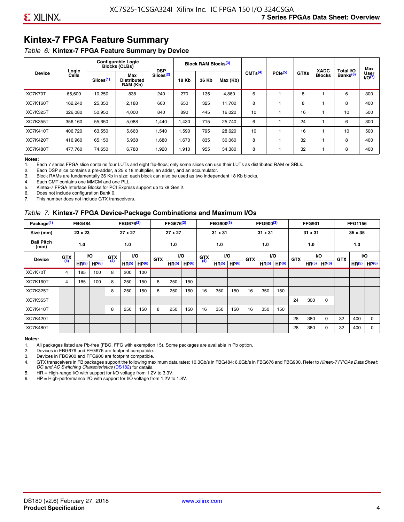### **Kintex-7 FPGA Feature Summary**

#### *Table 6:* **Kintex-7 FPGA Feature Summary by Device**

|                 |                |                       | <b>Configurable Logic</b><br><b>Blocks (CLBs)</b> | <b>DSP</b>            |                                            | <b>Block RAM Blocks</b> <sup>(3)</sup> |          |                     |              |             | <b>XADC</b>   | Total I/O            | Max                 |
|-----------------|----------------|-----------------------|---------------------------------------------------|-----------------------|--------------------------------------------|----------------------------------------|----------|---------------------|--------------|-------------|---------------|----------------------|---------------------|
| <b>Device</b>   | Logic<br>Cells | Slices <sup>(1)</sup> | Max<br><b>Distributed</b><br>RAM (Kb)             | Slices <sup>(2)</sup> | <b>18 Kb</b><br>36 Kb<br>270<br>135<br>240 |                                        | Max (Kb) | CMTS <sup>(4)</sup> | $PCle^{(5)}$ | <b>GTXs</b> | <b>Blocks</b> | Banks <sup>(6)</sup> | User<br>$U$ O $(7)$ |
| XC7K70T         | 65,600         | 10,250                | 838                                               |                       |                                            |                                        | 4,860    | 6                   |              | 8           |               | 6                    | 300                 |
| <b>XC7K160T</b> | 162,240        | 25,350                | 2,188                                             | 600                   | 650                                        | 325                                    | 11,700   | 8                   |              | 8           |               | 8                    | 400                 |
| <b>XC7K325T</b> | 326.080        | 50.950                | 4,000                                             | 840                   | 890                                        | 445                                    | 16,020   | 10                  |              | 16          |               | 10                   | 500                 |
| <b>XC7K355T</b> | 356.160        | 55,650                | 5,088                                             | 1,440                 | 1.430                                      | 715                                    | 25,740   | 6                   |              | 24          |               | 6                    | 300                 |
| <b>XC7K410T</b> | 406,720        | 63,550                | 5,663                                             | 1,540                 | 1,590                                      | 795                                    | 28,620   | 10                  |              | 16          |               | 10                   | 500                 |
| <b>XC7K420T</b> | 416,960        | 65,150                | 5,938                                             | 1,680                 | 1,670                                      | 835                                    | 30,060   | 8                   |              | 32          |               | 8                    | 400                 |
| <b>XC7K480T</b> | 477.760        | 74,650                | 6,788                                             | 1,920                 | 1,910                                      | 955                                    | 34,380   | 8                   |              | 32          |               | 8                    | 400                 |

#### **Notes:**

1. Each 7 series FPGA slice contains four LUTs and eight flip-flops; only some slices can use their LUTs as distributed RAM or SRLs.<br>2. Each DSP slice contains a pre-adder, a 25 x 18 multiplier, an adder, and an accumulato

Each DSP slice contains a pre-adder, a 25 x 18 multiplier, an adder, and an accumulator.

3. Block RAMs are fundamentally 36 Kb in size; each block can also be used as two independent 18 Kb blocks.

4. Each CMT contains one MMCM and one PLL.

5. Kintex-7 FPGA Interface Blocks for PCI Express support up to x8 Gen 2.

6. Does not include configuration Bank 0.

7. This number does not include GTX transceivers.

#### *Table 7:* **Kintex-7 FPGA Device-Package Combinations and Maximum I/Os**

| Package <sup>(1)</sup>    |            | <b>FBG484</b>     |                   |            | FBG676 <sup>(2)</sup> |                   |            | FFG676 <sup>(2)</sup> |                   |            | FBG900 <sup>(3)</sup> |                   |            | FFG900 <sup>(3)</sup> |                   |            | <b>FFG901</b>     |                   |            | <b>FFG1156</b>    |                   |
|---------------------------|------------|-------------------|-------------------|------------|-----------------------|-------------------|------------|-----------------------|-------------------|------------|-----------------------|-------------------|------------|-----------------------|-------------------|------------|-------------------|-------------------|------------|-------------------|-------------------|
| Size (mm)                 |            | 23 x 23           |                   |            | 27 x 27               |                   |            | 27 x 27               |                   |            | 31 x 31               |                   |            | 31 x 31               |                   |            | 31 x 31           |                   |            | 35 x 35           |                   |
| <b>Ball Pitch</b><br>(mm) |            | 1.0               |                   |            | 1.0                   |                   |            | 1.0                   |                   |            | 1.0                   |                   |            | 1.0                   |                   |            | 1.0               |                   |            | 1.0               |                   |
| <b>Device</b>             | <b>GTX</b> |                   | VO.               | <b>GTX</b> | <b>VO</b>             |                   | <b>GTX</b> |                       | <b>VO</b>         | <b>GTX</b> |                       | <b>VO</b>         | <b>GTX</b> | <b>VO</b>             |                   | <b>GTX</b> |                   | VO                | <b>GTX</b> | <b>VO</b>         |                   |
|                           | (4)        | HR <sup>(5)</sup> | HP <sup>(6)</sup> | (4)        | HR <sup>(5)</sup>     | HP <sup>(6)</sup> |            | HR <sup>(5)</sup>     | HP <sup>(6)</sup> | (4)        | HR <sup>(5)</sup>     | HP <sup>(6)</sup> |            | HR <sup>(5)</sup>     | HP <sup>(6)</sup> |            | HR <sup>(5)</sup> | HP <sup>(6)</sup> |            | HR <sup>(5)</sup> | HP <sup>(6)</sup> |
| XC7K70T                   | 4          | 185               | 100               | 8          | 200                   | 100               |            |                       |                   |            |                       |                   |            |                       |                   |            |                   |                   |            |                   |                   |
| <b>XC7K160T</b>           | 4          | 185               | 100               | 8          | 250                   | 150               | 8          | 250                   | 150               |            |                       |                   |            |                       |                   |            |                   |                   |            |                   |                   |
| <b>XC7K325T</b>           |            |                   |                   | 8          | 250                   | 150               | 8          | 250                   | 150               | 16         | 350                   | 150               | 16         | 350                   | 150               |            |                   |                   |            |                   |                   |
| <b>XC7K355T</b>           |            |                   |                   |            |                       |                   |            |                       |                   |            |                       |                   |            |                       |                   | 24         | 300               | 0                 |            |                   |                   |
| <b>XC7K410T</b>           |            |                   |                   | 8          | 250                   | 150               | 8          | 250                   | 150               | 16         | 350                   | 150               | 16         | 350                   | 150               |            |                   |                   |            |                   |                   |
| <b>XC7K420T</b>           |            |                   |                   |            |                       |                   |            |                       |                   |            |                       |                   |            |                       |                   | 28         | 380               | $\Omega$          | 32         | 400               | $\Omega$          |
| <b>XC7K480T</b>           |            |                   |                   |            |                       |                   |            |                       |                   |            |                       |                   |            |                       |                   | 28         | 380               | 0                 | 32         | 400               | $\Omega$          |

#### **Notes:**

1. All packages listed are Pb-free (FBG, FFG with exemption 15). Some packages are available in Pb option.

2. Devices in FBG676 and FFG676 are footprint compatible.

3. Devices in FBG900 and FFG900 are footprint compatible. 4. GTX transceivers in FB packages support the following maximum data rates: 10.3Gb/s in FBG484; 6.6Gb/s in FBG676 and FBG900. Refer to *Kintex-7 FPGAs Data Sheet: DC and AC Switching Characteristics* [\(DS182](https://www.xilinx.com/support/documentation/data_sheets/ds182_Kintex_7_Data_Sheet.pdf)) for details.

5. HR = High-range I/O with support for I/O voltage from 1.2V to 3.3V.

6. HP = High-performance I/O with support for I/O voltage from 1.2V to 1.8V.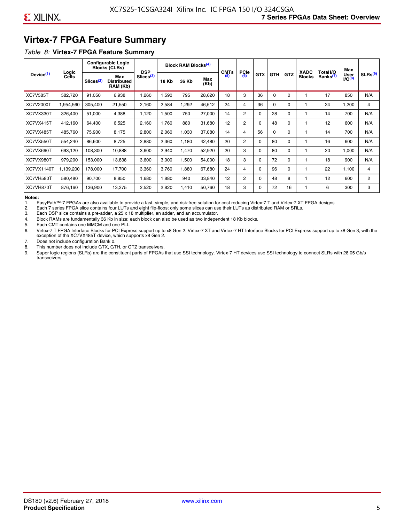### **Virtex-7 FPGA Feature Summary**

#### *Table 8:* **Virtex-7 FPGA Feature Summary**

|                       |                |                       | <b>Configurable Logic</b><br><b>Blocks (CLBs)</b> | <b>DSP</b>            |       | <b>Block RAM Blocks<sup>(4)</sup></b> |             | <b>CMTs</b> | PCle           |            |            |            | <b>XADC</b>   | Total I/O            | Max                        |                |
|-----------------------|----------------|-----------------------|---------------------------------------------------|-----------------------|-------|---------------------------------------|-------------|-------------|----------------|------------|------------|------------|---------------|----------------------|----------------------------|----------------|
| Device <sup>(1)</sup> | Logic<br>Cells | Slices <sup>(2)</sup> | Max<br><b>Distributed</b><br>RAM (Kb)             | Slices <sup>(3)</sup> | 18 Kb | 36 Kb                                 | Max<br>(Kb) | (5)         | (6)            | <b>GTX</b> | <b>GTH</b> | <b>GTZ</b> | <b>Blocks</b> | Banks <sup>(7)</sup> | <b>User</b><br>$1/O^{(8)}$ | SLRs(9)        |
| <b>XC7V585T</b>       | 582,720        | 91,050                | 6,938                                             | ,260                  | .590  | 795                                   | 28,620      | 18          | 3              | 36         | $\Omega$   | 0          |               | 17                   | 850                        | N/A            |
| XC7V2000T             | 1,954,560      | 305,400               | 21,550                                            | 2,160                 | 2,584 | ,292                                  | 46,512      | 24          | 4              | 36         | 0          | 0          |               | 24                   | ,200                       | 4              |
| XC7VX330T             | 326,400        | 51,000                | 4,388                                             | 1,120                 | 1,500 | 750                                   | 27,000      | 14          | $\overline{2}$ | 0          | 28         | 0          |               | 14                   | 700                        | N/A            |
| XC7VX415T             | 412,160        | 64,400                | 6,525                                             | 2,160                 | 1,760 | 880                                   | 31,680      | 12          | $\overline{2}$ | $\Omega$   | 48         | $\Omega$   |               | 12                   | 600                        | N/A            |
| XC7VX485T             | 485,760        | 75,900                | 8,175                                             | 2,800                 | 2,060 | 1,030                                 | 37,080      | 14          | 4              | 56         | 0          | $\Omega$   |               | 14                   | 700                        | N/A            |
| XC7VX550T             | 554,240        | 86,600                | 8,725                                             | 2,880                 | 2,360 | 1,180                                 | 42,480      | 20          | $\overline{2}$ | $\Omega$   | 80         | 0          |               | 16                   | 600                        | N/A            |
| XC7VX690T             | 693,120        | 108,300               | 10,888                                            | 3,600                 | 2,940 | <b>470</b>                            | 52,920      | 20          | 3              | 0          | 80         | 0          |               | 20                   | 1,000                      | N/A            |
| XC7VX980T             | 979,200        | 153,000               | 13,838                                            | 3,600                 | 3,000 | 1,500                                 | 54,000      | 18          | 3              | 0          | 72         | 0          |               | 18                   | 900                        | N/A            |
| <b>XC7VX1140T</b>     | 1,139,200      | 178,000               | 17,700                                            | 3,360                 | 3,760 | ,880                                  | 67,680      | 24          | 4              | 0          | 96         | 0          |               | 22                   | 1,100                      | 4              |
| XC7VH580T             | 580,480        | 90,700                | 8,850                                             | <b>680,</b>           | 1,880 | 940                                   | 33,840      | 12          | $\overline{c}$ | 0          | 48         | 8          |               | 12                   | 600                        | $\overline{2}$ |
| XC7VH870T             | 876,160        | 136,900               | 13,275                                            | 2,520                 | 2,820 | 1,410                                 | 50,760      | 18          | 3              | 0          | 72         | 16         |               | 6                    | 300                        | 3              |

#### **Notes:**

1. EasyPath™-7 FPGAs are also available to provide a fast, simple, and risk-free solution for cost reducing Virtex-7 T and Virtex-7 XT FPGA designs

2. Each 7 series FPGA slice contains four LUTs and eight flip-flops; only some slices can use their LUTs as distributed RAM or SRLs.

Each DSP slice contains a pre-adder, a 25 x 18 multiplier, an adder, and an accumulator.

4. Block RAMs are fundamentally 36 Kb in size; each block can also be used as two independent 18 Kb blocks.

5. Each CMT contains one MMCM and one PLL.

6. Virtex-7 T FPGA Interface Blocks for PCI Express support up to x8 Gen 2. Virtex-7 XT and Virtex-7 HT Interface Blocks for PCI Express support up to x8 Gen 3, with the exception of the XC7VX485T device, which supports x8 Gen 2.

7. Does not include configuration Bank 0.

8. This number does not include GTX, GTH, or GTZ transceivers.

9. Super logic regions (SLRs) are the constituent parts of FPGAs that use SSI technology. Virtex-7 HT devices use SSI technology to connect SLRs with 28.05 Gb/s transceivers.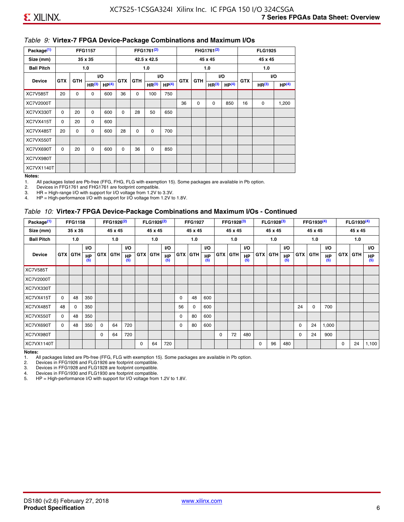#### *Table 9:* **Virtex-7 FPGA Device-Package Combinations and Maximum I/Os**

| Package <sup>(1)</sup> |            |            | <b>FFG1157</b>    |                   |            |            | FFG1761 <sup>(2)</sup> |                   |            |             | FHG1761 <sup>(2)</sup> |                   |            | <b>FLG1925</b>    |                   |
|------------------------|------------|------------|-------------------|-------------------|------------|------------|------------------------|-------------------|------------|-------------|------------------------|-------------------|------------|-------------------|-------------------|
| Size (mm)              |            |            | 35 x 35           |                   |            |            | 42.5 x 42.5            |                   |            |             | 45 x 45                |                   |            | 45 x 45           |                   |
| <b>Ball Pitch</b>      |            |            | 1.0               |                   |            |            | 1.0                    |                   |            |             | 1.0                    |                   |            | 1.0               |                   |
| <b>Device</b>          | <b>GTX</b> | <b>GTH</b> |                   | <b>VO</b>         | <b>GTX</b> | <b>GTH</b> |                        | I/O               | <b>GTX</b> | <b>GTH</b>  | VO.                    |                   | <b>GTX</b> |                   | VO.               |
|                        |            |            | HR <sup>(3)</sup> | HP <sup>(4)</sup> |            |            | HR <sup>(3)</sup>      | HP <sup>(4)</sup> |            |             | HR <sup>(3)</sup>      | HP <sup>(4)</sup> |            | HR <sup>(3)</sup> | HP <sup>(4)</sup> |
| <b>XC7V585T</b>        | 20         | 0          | 0                 | 600               | 36         | 0          | 100                    | 750               |            |             |                        |                   |            |                   |                   |
| XC7V2000T              |            |            |                   |                   |            |            |                        |                   | 36         | $\mathbf 0$ | 0                      | 850               | 16         | 0                 | 1,200             |
| XC7VX330T              | $\Omega$   | 20         | $\Omega$          | 600               | $\Omega$   | 28         | 50                     | 650               |            |             |                        |                   |            |                   |                   |
| XC7VX415T              | $\Omega$   | 20         | $\Omega$          | 600               |            |            |                        |                   |            |             |                        |                   |            |                   |                   |
| XC7VX485T              | 20         | 0          | 0                 | 600               | 28         | 0          | 0                      | 700               |            |             |                        |                   |            |                   |                   |
| XC7VX550T              |            |            |                   |                   |            |            |                        |                   |            |             |                        |                   |            |                   |                   |
| XC7VX690T              | $\Omega$   | 20         | $\Omega$          | 600               | $\Omega$   | 36         | $\Omega$               | 850               |            |             |                        |                   |            |                   |                   |
| XC7VX980T              |            |            |                   |                   |            |            |                        |                   |            |             |                        |                   |            |                   |                   |
| XC7VX1140T             |            |            |                   |                   |            |            |                        |                   |            |             |                        |                   |            |                   |                   |

#### **Notes:**

1. All packages listed are Pb-free (FFG, FHG, FLG with exemption 15). Some packages are available in Pb option.

2. Devices in FFG1761 and FHG1761 are footprint compatible.<br>3. HR = High-range I/O with support for I/O voltage from 1.2V to

HR = High-range I/O with support for I/O voltage from 1.2V to 3.3V.

4. HP = High-performance I/O with support for I/O voltage from 1.2V to 1.8V.

#### *Table 10:* **Virtex-7 FPGA Device-Package Combinations and Maximum I/Os - Continued**

| Package <sup>(1)</sup> |          | <b>FFG1158</b> |                  |            | FFG1926 <sup>(2)</sup> |                  |            | FLG1926 <sup>(2)</sup> |                  |    | <b>FFG1927</b> |                  |            | FFG1928 <sup>(3)</sup> |                  |            | FLG1928 <sup>(3)</sup> |                  |            | FFG1930 <sup>(4)</sup> |           |            | $FLG1930^{(4)}$ |                  |
|------------------------|----------|----------------|------------------|------------|------------------------|------------------|------------|------------------------|------------------|----|----------------|------------------|------------|------------------------|------------------|------------|------------------------|------------------|------------|------------------------|-----------|------------|-----------------|------------------|
| Size (mm)              |          | 35 x 35        |                  |            | 45 x 45                |                  |            | 45 x 45                |                  |    | 45 x 45        |                  |            | 45 x 45                |                  |            | 45 x 45                |                  |            | 45 x 45                |           |            | 45 x 45         |                  |
| <b>Ball Pitch</b>      |          | 1.0            |                  |            | 1.0                    |                  |            | 1.0                    |                  |    | 1.0            |                  |            | 1.0                    |                  |            | 1.0                    |                  |            | 1.0                    |           |            | 1.0             |                  |
|                        |          |                | <b>VO</b>        |            |                        | <b>VO</b>        |            |                        | VO.              |    |                | <b>VO</b>        |            |                        | <b>VO</b>        |            |                        | <b>VO</b>        |            |                        | <b>VO</b> |            |                 | VO.              |
| <b>Device</b>          |          | <b>GTX GTH</b> | <b>HP</b><br>(5) | <b>GTX</b> | <b>GTH</b>             | <b>HP</b><br>(5) | <b>GTX</b> | <b>GTH</b>             | <b>HP</b><br>(5) |    | <b>GTX GTH</b> | <b>HP</b><br>(5) | <b>GTX</b> | <b>GTH</b>             | <b>HP</b><br>(5) | <b>GTX</b> | <b>GTH</b>             | <b>HP</b><br>(5) | <b>GTX</b> | GTH                    | HP<br>(5) | <b>GTX</b> | GTH             | <b>HP</b><br>(5) |
| <b>XC7V585T</b>        |          |                |                  |            |                        |                  |            |                        |                  |    |                |                  |            |                        |                  |            |                        |                  |            |                        |           |            |                 |                  |
| XC7V2000T              |          |                |                  |            |                        |                  |            |                        |                  |    |                |                  |            |                        |                  |            |                        |                  |            |                        |           |            |                 |                  |
| XC7VX330T              |          |                |                  |            |                        |                  |            |                        |                  |    |                |                  |            |                        |                  |            |                        |                  |            |                        |           |            |                 |                  |
| XC7VX415T              | $\Omega$ | 48             | 350              |            |                        |                  |            |                        |                  | 0  | 48             | 600              |            |                        |                  |            |                        |                  |            |                        |           |            |                 |                  |
| XC7VX485T              | 48       | 0              | 350              |            |                        |                  |            |                        |                  | 56 | 0              | 600              |            |                        |                  |            |                        |                  | 24         | 0                      | 700       |            |                 |                  |
| XC7VX550T              | 0        | 48             | 350              |            |                        |                  |            |                        |                  | 0  | 80             | 600              |            |                        |                  |            |                        |                  |            |                        |           |            |                 |                  |
| XC7VX690T              | $\Omega$ | 48             | 350              | $\Omega$   | 64                     | 720              |            |                        |                  | 0  | 80             | 600              |            |                        |                  |            |                        |                  | 0          | 24                     | 1,000     |            |                 |                  |
| XC7VX980T              |          |                |                  | $\Omega$   | 64                     | 720              |            |                        |                  |    |                |                  | $\Omega$   | 72                     | 480              |            |                        |                  | 0          | 24                     | 900       |            |                 |                  |
| XC7VX1140T             |          |                |                  |            |                        |                  | $\Omega$   | 64                     | 720              |    |                |                  |            |                        |                  | $\Omega$   | 96                     | 480              |            |                        |           | 0          | 24              | 1,100            |

**Notes:** 

1. All packages listed are Pb-free (FFG, FLG with exemption 15). Some packages are available in Pb option.<br>2. Devices in FFG1926 and FLG1926 are footprint compatible.

2. Devices in FFG1926 and FLG1926 are footprint compatible.

3. Devices in FFG1928 and FLG1928 are footprint compatible.

4. Devices in FFG1930 and FLG1930 are footprint compatible.<br>5. HP = High-performance I/O with support for I/O voltage from HP = High-performance I/O with support for I/O voltage from 1.2V to 1.8V.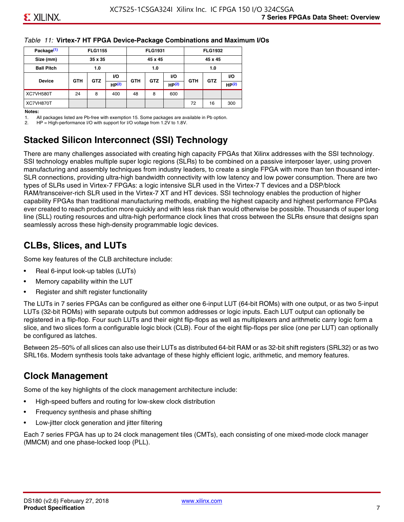#### *Table 11:* **Virtex-7 HT FPGA Device-Package Combinations and Maximum I/Os**

| Package <sup>(1)</sup> |            | <b>FLG1155</b> |       |            | <b>FLG1931</b> |                   |            | <b>FLG1932</b> |                   |
|------------------------|------------|----------------|-------|------------|----------------|-------------------|------------|----------------|-------------------|
| Size (mm)              |            | 35 x 35        |       |            | 45 x 45        |                   |            | 45 x 45        |                   |
| <b>Ball Pitch</b>      |            | 1.0            |       |            | 1.0            |                   |            | 1.0            |                   |
|                        |            |                | VO.   | <b>VO</b>  |                |                   |            |                | VO.               |
| <b>Device</b>          | <b>GTH</b> | <b>GTZ</b>     | HP(2) | <b>GTH</b> | <b>GTZ</b>     | HP <sup>(2)</sup> | <b>GTH</b> | <b>GTZ</b>     | HP <sup>(2)</sup> |
| XC7VH580T              | 24         | 8              | 400   | 48         | 8              | 600               |            |                |                   |
| XC7VH870T              |            |                |       |            |                |                   | 72         | 16             | 300               |

#### **Notes:**

1. All packages listed are Pb-free with exemption 15. Some packages are available in Pb option.

2. HP = High-performance I/O with support for I/O voltage from 1.2V to 1.8V.

### **Stacked Silicon Interconnect (SSI) Technology**

There are many challenges associated with creating high capacity FPGAs that Xilinx addresses with the SSI technology. SSI technology enables multiple super logic regions (SLRs) to be combined on a passive interposer layer, using proven manufacturing and assembly techniques from industry leaders, to create a single FPGA with more than ten thousand inter-SLR connections, providing ultra-high bandwidth connectivity with low latency and low power consumption. There are two types of SLRs used in Virtex-7 FPGAs: a logic intensive SLR used in the Virtex-7 T devices and a DSP/block RAM/transceiver-rich SLR used in the Virtex-7 XT and HT devices. SSI technology enables the production of higher capability FPGAs than traditional manufacturing methods, enabling the highest capacity and highest performance FPGAs ever created to reach production more quickly and with less risk than would otherwise be possible. Thousands of super long line (SLL) routing resources and ultra-high performance clock lines that cross between the SLRs ensure that designs span seamlessly across these high-density programmable logic devices.

### **CLBs, Slices, and LUTs**

Some key features of the CLB architecture include:

- Real 6-input look-up tables (LUTs)
- Memory capability within the LUT
- Register and shift register functionality

The LUTs in 7 series FPGAs can be configured as either one 6-input LUT (64-bit ROMs) with one output, or as two 5-input LUTs (32-bit ROMs) with separate outputs but common addresses or logic inputs. Each LUT output can optionally be registered in a flip-flop. Four such LUTs and their eight flip-flops as well as multiplexers and arithmetic carry logic form a slice, and two slices form a configurable logic block (CLB). Four of the eight flip-flops per slice (one per LUT) can optionally be configured as latches.

Between 25–50% of all slices can also use their LUTs as distributed 64-bit RAM or as 32-bit shift registers (SRL32) or as two SRL16s. Modern synthesis tools take advantage of these highly efficient logic, arithmetic, and memory features.

### **Clock Management**

Some of the key highlights of the clock management architecture include:

- High-speed buffers and routing for low-skew clock distribution
- Frequency synthesis and phase shifting
- Low-jitter clock generation and jitter filtering

Each 7 series FPGA has up to 24 clock management tiles (CMTs), each consisting of one mixed-mode clock manager (MMCM) and one phase-locked loop (PLL).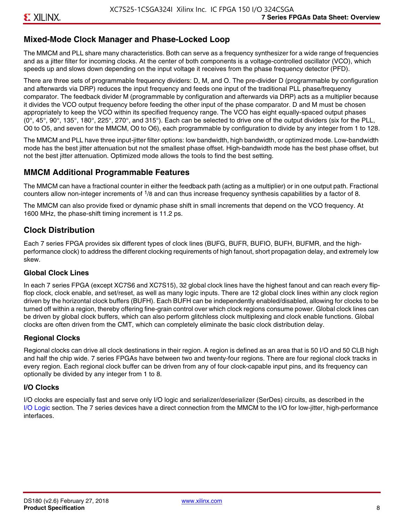### **Mixed-Mode Clock Manager and Phase-Locked Loop**

The MMCM and PLL share many characteristics. Both can serve as a frequency synthesizer for a wide range of frequencies and as a jitter filter for incoming clocks. At the center of both components is a voltage-controlled oscillator (VCO), which speeds up and slows down depending on the input voltage it receives from the phase frequency detector (PFD).

There are three sets of programmable frequency dividers: D, M, and O. The pre-divider D (programmable by configuration and afterwards via DRP) reduces the input frequency and feeds one input of the traditional PLL phase/frequency comparator. The feedback divider M (programmable by configuration and afterwards via DRP) acts as a multiplier because it divides the VCO output frequency before feeding the other input of the phase comparator. D and M must be chosen appropriately to keep the VCO within its specified frequency range. The VCO has eight equally-spaced output phases  $(0^\circ, 45^\circ, 90^\circ, 135^\circ, 180^\circ, 225^\circ, 270^\circ,$  and  $315^\circ$ ). Each can be selected to drive one of the output dividers (six for the PLL, O0 to O5, and seven for the MMCM, O0 to O6), each programmable by configuration to divide by any integer from 1 to 128.

The MMCM and PLL have three input-jitter filter options: low bandwidth, high bandwidth, or optimized mode. Low-bandwidth mode has the best jitter attenuation but not the smallest phase offset. High-bandwidth mode has the best phase offset, but not the best jitter attenuation. Optimized mode allows the tools to find the best setting.

### **MMCM Additional Programmable Features**

The MMCM can have a fractional counter in either the feedback path (acting as a multiplier) or in one output path. Fractional counters allow non-integer increments of  $1/8$  and can thus increase frequency synthesis capabilities by a factor of 8.

The MMCM can also provide fixed or dynamic phase shift in small increments that depend on the VCO frequency. At 1600 MHz, the phase-shift timing increment is 11.2 ps.

### **Clock Distribution**

Each 7 series FPGA provides six different types of clock lines (BUFG, BUFR, BUFIO, BUFH, BUFMR, and the highperformance clock) to address the different clocking requirements of high fanout, short propagation delay, and extremely low skew.

#### **Global Clock Lines**

In each 7 series FPGA (except XC7S6 and XC7S15), 32 global clock lines have the highest fanout and can reach every flipflop clock, clock enable, and set/reset, as well as many logic inputs. There are 12 global clock lines within any clock region driven by the horizontal clock buffers (BUFH). Each BUFH can be independently enabled/disabled, allowing for clocks to be turned off within a region, thereby offering fine-grain control over which clock regions consume power. Global clock lines can be driven by global clock buffers, which can also perform glitchless clock multiplexing and clock enable functions. Global clocks are often driven from the CMT, which can completely eliminate the basic clock distribution delay.

#### **Regional Clocks**

Regional clocks can drive all clock destinations in their region. A region is defined as an area that is 50 I/O and 50 CLB high and half the chip wide. 7 series FPGAs have between two and twenty-four regions. There are four regional clock tracks in every region. Each regional clock buffer can be driven from any of four clock-capable input pins, and its frequency can optionally be divided by any integer from 1 to 8.

#### **I/O Clocks**

I/O clocks are especially fast and serve only I/O logic and serializer/deserializer (SerDes) circuits, as described in the I/O Logic section. The 7 series devices have a direct connection from the MMCM to the I/O for low-jitter, high-performance interfaces.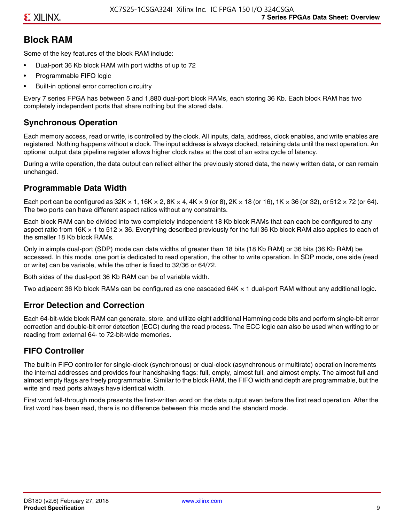### **Block RAM**

Some of the key features of the block RAM include:

- Dual-port 36 Kb block RAM with port widths of up to 72
- Programmable FIFO logic
- Built-in optional error correction circuitry

Every 7 series FPGA has between 5 and 1,880 dual-port block RAMs, each storing 36 Kb. Each block RAM has two completely independent ports that share nothing but the stored data.

### **Synchronous Operation**

Each memory access, read or write, is controlled by the clock. All inputs, data, address, clock enables, and write enables are registered. Nothing happens without a clock. The input address is always clocked, retaining data until the next operation. An optional output data pipeline register allows higher clock rates at the cost of an extra cycle of latency.

During a write operation, the data output can reflect either the previously stored data, the newly written data, or can remain unchanged.

#### **Programmable Data Width**

Each port can be configured as 32K  $\times$  1, 16K  $\times$  2, 8K  $\times$  4, 4K  $\times$  9 (or 8), 2K  $\times$  18 (or 16), 1K  $\times$  36 (or 32), or 512  $\times$  72 (or 64). The two ports can have different aspect ratios without any constraints.

Each block RAM can be divided into two completely independent 18 Kb block RAMs that can each be configured to any aspect ratio from 16K  $\times$  1 to 512  $\times$  36. Everything described previously for the full 36 Kb block RAM also applies to each of the smaller 18 Kb block RAMs.

Only in simple dual-port (SDP) mode can data widths of greater than 18 bits (18 Kb RAM) or 36 bits (36 Kb RAM) be accessed. In this mode, one port is dedicated to read operation, the other to write operation. In SDP mode, one side (read or write) can be variable, while the other is fixed to 32/36 or 64/72.

Both sides of the dual-port 36 Kb RAM can be of variable width.

Two adjacent 36 Kb block RAMs can be configured as one cascaded 64K × 1 dual-port RAM without any additional logic.

#### **Error Detection and Correction**

Each 64-bit-wide block RAM can generate, store, and utilize eight additional Hamming code bits and perform single-bit error correction and double-bit error detection (ECC) during the read process. The ECC logic can also be used when writing to or reading from external 64- to 72-bit-wide memories.

### **FIFO Controller**

The built-in FIFO controller for single-clock (synchronous) or dual-clock (asynchronous or multirate) operation increments the internal addresses and provides four handshaking flags: full, empty, almost full, and almost empty. The almost full and almost empty flags are freely programmable. Similar to the block RAM, the FIFO width and depth are programmable, but the write and read ports always have identical width.

First word fall-through mode presents the first-written word on the data output even before the first read operation. After the first word has been read, there is no difference between this mode and the standard mode.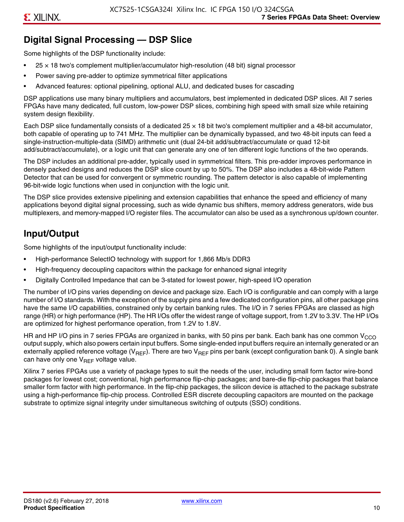### **Digital Signal Processing — DSP Slice**

Some highlights of the DSP functionality include:

- $25 \times 18$  two's complement multiplier/accumulator high-resolution (48 bit) signal processor
- Power saving pre-adder to optimize symmetrical filter applications
- Advanced features: optional pipelining, optional ALU, and dedicated buses for cascading

DSP applications use many binary multipliers and accumulators, best implemented in dedicated DSP slices. All 7 series FPGAs have many dedicated, full custom, low-power DSP slices, combining high speed with small size while retaining system design flexibility.

Each DSP slice fundamentally consists of a dedicated 25 × 18 bit two's complement multiplier and a 48-bit accumulator, both capable of operating up to 741 MHz. The multiplier can be dynamically bypassed, and two 48-bit inputs can feed a single-instruction-multiple-data (SIMD) arithmetic unit (dual 24-bit add/subtract/accumulate or quad 12-bit add/subtract/accumulate), or a logic unit that can generate any one of ten different logic functions of the two operands.

The DSP includes an additional pre-adder, typically used in symmetrical filters. This pre-adder improves performance in densely packed designs and reduces the DSP slice count by up to 50%. The DSP also includes a 48-bit-wide Pattern Detector that can be used for convergent or symmetric rounding. The pattern detector is also capable of implementing 96-bit-wide logic functions when used in conjunction with the logic unit.

The DSP slice provides extensive pipelining and extension capabilities that enhance the speed and efficiency of many applications beyond digital signal processing, such as wide dynamic bus shifters, memory address generators, wide bus multiplexers, and memory-mapped I/O register files. The accumulator can also be used as a synchronous up/down counter.

### **Input/Output**

Some highlights of the input/output functionality include:

- High-performance SelectIO technology with support for 1,866 Mb/s DDR3
- High-frequency decoupling capacitors within the package for enhanced signal integrity
- Digitally Controlled Impedance that can be 3-stated for lowest power, high-speed I/O operation

The number of I/O pins varies depending on device and package size. Each I/O is configurable and can comply with a large number of I/O standards. With the exception of the supply pins and a few dedicated configuration pins, all other package pins have the same I/O capabilities, constrained only by certain banking rules. The I/O in 7 series FPGAs are classed as high range (HR) or high performance (HP). The HR I/Os offer the widest range of voltage support, from 1.2V to 3.3V. The HP I/Os are optimized for highest performance operation, from 1.2V to 1.8V.

HR and HP I/O pins in 7 series FPGAs are organized in banks, with 50 pins per bank. Each bank has one common V<sub>CCO</sub> output supply, which also powers certain input buffers. Some single-ended input buffers require an internally generated or an externally applied reference voltage ( $V_{RFF}$ ). There are two  $V_{RFF}$  pins per bank (except configuration bank 0). A single bank can have only one  $V_{\text{RFF}}$  voltage value.

Xilinx 7 series FPGAs use a variety of package types to suit the needs of the user, including small form factor wire-bond packages for lowest cost; conventional, high performance flip-chip packages; and bare-die flip-chip packages that balance smaller form factor with high performance. In the flip-chip packages, the silicon device is attached to the package substrate using a high-performance flip-chip process. Controlled ESR discrete decoupling capacitors are mounted on the package substrate to optimize signal integrity under simultaneous switching of outputs (SSO) conditions.

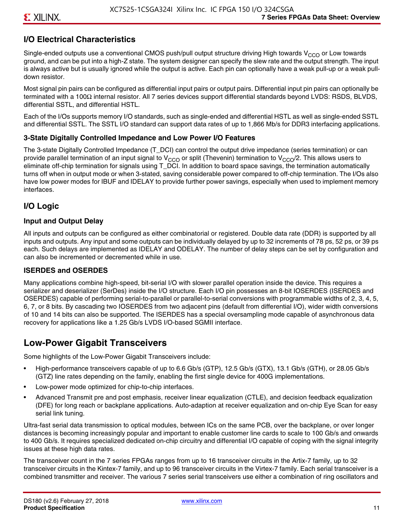### **I/O Electrical Characteristics**

Single-ended outputs use a conventional CMOS push/pull output structure driving High towards  $V_{CCO}$  or Low towards ground, and can be put into a high-Z state. The system designer can specify the slew rate and the output strength. The input is always active but is usually ignored while the output is active. Each pin can optionally have a weak pull-up or a weak pulldown resistor.

Most signal pin pairs can be configured as differential input pairs or output pairs. Differential input pin pairs can optionally be terminated with a 100Ω internal resistor. All 7 series devices support differential standards beyond LVDS: RSDS, BLVDS, differential SSTL, and differential HSTL.

Each of the I/Os supports memory I/O standards, such as single-ended and differential HSTL as well as single-ended SSTL and differential SSTL. The SSTL I/O standard can support data rates of up to 1,866 Mb/s for DDR3 interfacing applications.

#### **3-State Digitally Controlled Impedance and Low Power I/O Features**

The 3-state Digitally Controlled Impedance (T\_DCI) can control the output drive impedance (series termination) or can provide parallel termination of an input signal to V<sub>CCO</sub> or split (Thevenin) termination to V<sub>CCO</sub>/2. This allows users to eliminate off-chip termination for signals using T\_DCI. In addition to board space savings, the termination automatically turns off when in output mode or when 3-stated, saving considerable power compared to off-chip termination. The I/Os also have low power modes for IBUF and IDELAY to provide further power savings, especially when used to implement memory interfaces.

#### **I/O Logic**

#### **Input and Output Delay**

All inputs and outputs can be configured as either combinatorial or registered. Double data rate (DDR) is supported by all inputs and outputs. Any input and some outputs can be individually delayed by up to 32 increments of 78 ps, 52 ps, or 39 ps each. Such delays are implemented as IDELAY and ODELAY. The number of delay steps can be set by configuration and can also be incremented or decremented while in use.

#### **ISERDES and OSERDES**

Many applications combine high-speed, bit-serial I/O with slower parallel operation inside the device. This requires a serializer and deserializer (SerDes) inside the I/O structure. Each I/O pin possesses an 8-bit IOSERDES (ISERDES and OSERDES) capable of performing serial-to-parallel or parallel-to-serial conversions with programmable widths of 2, 3, 4, 5, 6, 7, or 8 bits. By cascading two IOSERDES from two adjacent pins (default from differential I/O), wider width conversions of 10 and 14 bits can also be supported. The ISERDES has a special oversampling mode capable of asynchronous data recovery for applications like a 1.25 Gb/s LVDS I/O-based SGMII interface.

### **Low-Power Gigabit Transceivers**

Some highlights of the Low-Power Gigabit Transceivers include:

- High-performance transceivers capable of up to 6.6 Gb/s (GTP), 12.5 Gb/s (GTX), 13.1 Gb/s (GTH), or 28.05 Gb/s (GTZ) line rates depending on the family, enabling the first single device for 400G implementations.
- Low-power mode optimized for chip-to-chip interfaces.
- Advanced Transmit pre and post emphasis, receiver linear equalization (CTLE), and decision feedback equalization (DFE) for long reach or backplane applications. Auto-adaption at receiver equalization and on-chip Eye Scan for easy serial link tuning.

Ultra-fast serial data transmission to optical modules, between ICs on the same PCB, over the backplane, or over longer distances is becoming increasingly popular and important to enable customer line cards to scale to 100 Gb/s and onwards to 400 Gb/s. It requires specialized dedicated on-chip circuitry and differential I/O capable of coping with the signal integrity issues at these high data rates.

The transceiver count in the 7 series FPGAs ranges from up to 16 transceiver circuits in the Artix-7 family, up to 32 transceiver circuits in the Kintex-7 family, and up to 96 transceiver circuits in the Virtex-7 family. Each serial transceiver is a combined transmitter and receiver. The various 7 series serial transceivers use either a combination of ring oscillators and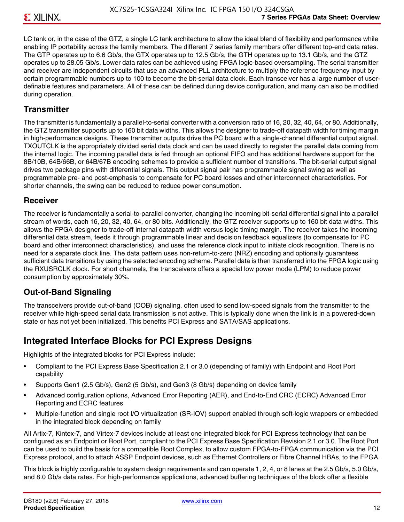LC tank or, in the case of the GTZ, a single LC tank architecture to allow the ideal blend of flexibility and performance while enabling IP portability across the family members. The different 7 series family members offer different top-end data rates. The GTP operates up to 6.6 Gb/s, the GTX operates up to 12.5 Gb/s, the GTH operates up to 13.1 Gb/s, and the GTZ operates up to 28.05 Gb/s. Lower data rates can be achieved using FPGA logic-based oversampling. The serial transmitter and receiver are independent circuits that use an advanced PLL architecture to multiply the reference frequency input by certain programmable numbers up to 100 to become the bit-serial data clock. Each transceiver has a large number of userdefinable features and parameters. All of these can be defined during device configuration, and many can also be modified during operation.

#### **Transmitter**

The transmitter is fundamentally a parallel-to-serial converter with a conversion ratio of 16, 20, 32, 40, 64, or 80. Additionally, the GTZ transmitter supports up to 160 bit data widths. This allows the designer to trade-off datapath width for timing margin in high-performance designs. These transmitter outputs drive the PC board with a single-channel differential output signal. TXOUTCLK is the appropriately divided serial data clock and can be used directly to register the parallel data coming from the internal logic. The incoming parallel data is fed through an optional FIFO and has additional hardware support for the 8B/10B, 64B/66B, or 64B/67B encoding schemes to provide a sufficient number of transitions. The bit-serial output signal drives two package pins with differential signals. This output signal pair has programmable signal swing as well as programmable pre- and post-emphasis to compensate for PC board losses and other interconnect characteristics. For shorter channels, the swing can be reduced to reduce power consumption.

#### **Receiver**

The receiver is fundamentally a serial-to-parallel converter, changing the incoming bit-serial differential signal into a parallel stream of words, each 16, 20, 32, 40, 64, or 80 bits. Additionally, the GTZ receiver supports up to 160 bit data widths. This allows the FPGA designer to trade-off internal datapath width versus logic timing margin. The receiver takes the incoming differential data stream, feeds it through programmable linear and decision feedback equalizers (to compensate for PC board and other interconnect characteristics), and uses the reference clock input to initiate clock recognition. There is no need for a separate clock line. The data pattern uses non-return-to-zero (NRZ) encoding and optionally guarantees sufficient data transitions by using the selected encoding scheme. Parallel data is then transferred into the FPGA logic using the RXUSRCLK clock. For short channels, the transceivers offers a special low power mode (LPM) to reduce power consumption by approximately 30%.

### **Out-of-Band Signaling**

The transceivers provide out-of-band (OOB) signaling, often used to send low-speed signals from the transmitter to the receiver while high-speed serial data transmission is not active. This is typically done when the link is in a powered-down state or has not yet been initialized. This benefits PCI Express and SATA/SAS applications.

### **Integrated Interface Blocks for PCI Express Designs**

Highlights of the integrated blocks for PCI Express include:

- Compliant to the PCI Express Base Specification 2.1 or 3.0 (depending of family) with Endpoint and Root Port capability
- Supports Gen1 (2.5 Gb/s), Gen2 (5 Gb/s), and Gen3 (8 Gb/s) depending on device family
- Advanced configuration options, Advanced Error Reporting (AER), and End-to-End CRC (ECRC) Advanced Error Reporting and ECRC features
- Multiple-function and single root I/O virtualization (SR-IOV) support enabled through soft-logic wrappers or embedded in the integrated block depending on family

All Artix-7, Kintex-7, and Virtex-7 devices include at least one integrated block for PCI Express technology that can be configured as an Endpoint or Root Port, compliant to the PCI Express Base Specification Revision 2.1 or 3.0. The Root Port can be used to build the basis for a compatible Root Complex, to allow custom FPGA-to-FPGA communication via the PCI Express protocol, and to attach ASSP Endpoint devices, such as Ethernet Controllers or Fibre Channel HBAs, to the FPGA.

This block is highly configurable to system design requirements and can operate 1, 2, 4, or 8 lanes at the 2.5 Gb/s, 5.0 Gb/s, and 8.0 Gb/s data rates. For high-performance applications, advanced buffering techniques of the block offer a flexible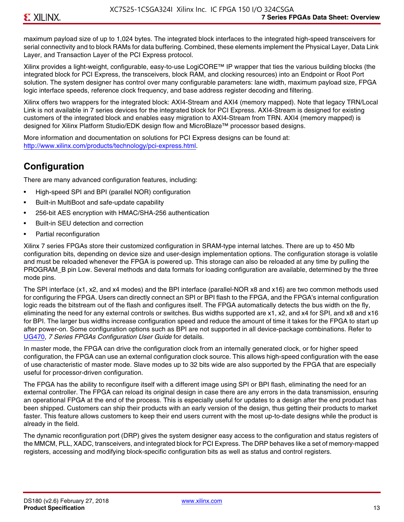maximum payload size of up to 1,024 bytes. The integrated block interfaces to the integrated high-speed transceivers for serial connectivity and to block RAMs for data buffering. Combined, these elements implement the Physical Layer, Data Link Layer, and Transaction Layer of the PCI Express protocol.

Xilinx provides a light-weight, configurable, easy-to-use LogiCORE™ IP wrapper that ties the various building blocks (the integrated block for PCI Express, the transceivers, block RAM, and clocking resources) into an Endpoint or Root Port solution. The system designer has control over many configurable parameters: lane width, maximum payload size, FPGA logic interface speeds, reference clock frequency, and base address register decoding and filtering.

Xilinx offers two wrappers for the integrated block: AXI4-Stream and AXI4 (memory mapped). Note that legacy TRN/Local Link is not available in 7 series devices for the integrated block for PCI Express. AXI4-Stream is designed for existing customers of the integrated block and enables easy migration to AXI4-Stream from TRN. AXI4 (memory mapped) is designed for Xilinx Platform Studio/EDK design flow and MicroBlaze™ processor based designs.

More information and documentation on solutions for PCI Express designs can be found at: <http://www.xilinx.com/products/technology/pci-express.html>.

### **Configuration**

There are many advanced configuration features, including:

- High-speed SPI and BPI (parallel NOR) configuration
- Built-in MultiBoot and safe-update capability
- 256-bit AES encryption with HMAC/SHA-256 authentication
- Built-in SEU detection and correction
- Partial reconfiguration

Xilinx 7 series FPGAs store their customized configuration in SRAM-type internal latches. There are up to 450 Mb configuration bits, depending on device size and user-design implementation options. The configuration storage is volatile and must be reloaded whenever the FPGA is powered up. This storage can also be reloaded at any time by pulling the PROGRAM B pin Low. Several methods and data formats for loading configuration are available, determined by the three mode pins.

The SPI interface (x1, x2, and x4 modes) and the BPI interface (parallel-NOR x8 and x16) are two common methods used for configuring the FPGA. Users can directly connect an SPI or BPI flash to the FPGA, and the FPGA's internal configuration logic reads the bitstream out of the flash and configures itself. The FPGA automatically detects the bus width on the fly, eliminating the need for any external controls or switches. Bus widths supported are x1, x2, and x4 for SPI, and x8 and x16 for BPI. The larger bus widths increase configuration speed and reduce the amount of time it takes for the FPGA to start up after power-on. Some configuration options such as BPI are not supported in all device-package combinations. Refer to [UG470,](http://www.xilinx.com/support/documentation/user_guides/ug470_7Series_Config.pdf) *7 Series FPGAs Configuration User Guide* for details.

In master mode, the FPGA can drive the configuration clock from an internally generated clock, or for higher speed configuration, the FPGA can use an external configuration clock source. This allows high-speed configuration with the ease of use characteristic of master mode. Slave modes up to 32 bits wide are also supported by the FPGA that are especially useful for processor-driven configuration.

The FPGA has the ability to reconfigure itself with a different image using SPI or BPI flash, eliminating the need for an external controller. The FPGA can reload its original design in case there are any errors in the data transmission, ensuring an operational FPGA at the end of the process. This is especially useful for updates to a design after the end product has been shipped. Customers can ship their products with an early version of the design, thus getting their products to market faster. This feature allows customers to keep their end users current with the most up-to-date designs while the product is already in the field.

The dynamic reconfiguration port (DRP) gives the system designer easy access to the configuration and status registers of the MMCM, PLL, XADC, transceivers, and integrated block for PCI Express. The DRP behaves like a set of memory-mapped registers, accessing and modifying block-specific configuration bits as well as status and control registers.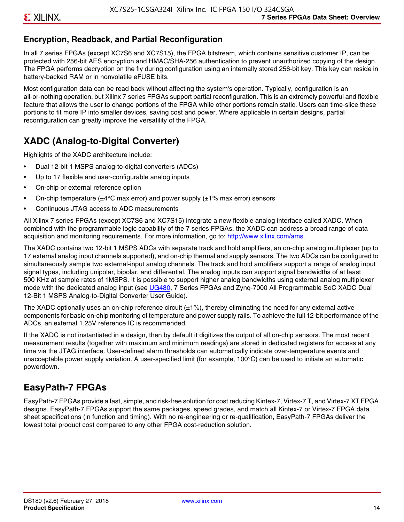### **Encryption, Readback, and Partial Reconfiguration**

In all 7 series FPGAs (except XC7S6 and XC7S15), the FPGA bitstream, which contains sensitive customer IP, can be protected with 256-bit AES encryption and HMAC/SHA-256 authentication to prevent unauthorized copying of the design. The FPGA performs decryption on the fly during configuration using an internally stored 256-bit key. This key can reside in battery-backed RAM or in nonvolatile eFUSE bits.

Most configuration data can be read back without affecting the system's operation. Typically, configuration is an all-or-nothing operation, but Xilinx 7 series FPGAs support partial reconfiguration. This is an extremely powerful and flexible feature that allows the user to change portions of the FPGA while other portions remain static. Users can time-slice these portions to fit more IP into smaller devices, saving cost and power. Where applicable in certain designs, partial reconfiguration can greatly improve the versatility of the FPGA.

### **XADC (Analog-to-Digital Converter)**

Highlights of the XADC architecture include:

- Dual 12-bit 1 MSPS analog-to-digital converters (ADCs)
- Up to 17 flexible and user-configurable analog inputs
- On-chip or external reference option
- On-chip temperature ( $\pm 4^{\circ}$ C max error) and power supply ( $\pm 1\%$  max error) sensors
- Continuous JTAG access to ADC measurements

All Xilinx 7 series FPGAs (except XC7S6 and XC7S15) integrate a new flexible analog interface called XADC. When combined with the programmable logic capability of the 7 series FPGAs, the XADC can address a broad range of data acquisition and monitoring requirements. For more information, go to: [http://www.xilinx.com/ams.](http://www.xilinx.com/ams)

The XADC contains two 12-bit 1 MSPS ADCs with separate track and hold amplifiers, an on-chip analog multiplexer (up to 17 external analog input channels supported), and on-chip thermal and supply sensors. The two ADCs can be configured to simultaneously sample two external-input analog channels. The track and hold amplifiers support a range of analog input signal types, including unipolar, bipolar, and differential. The analog inputs can support signal bandwidths of at least 500 KHz at sample rates of 1MSPS. It is possible to support higher analog bandwidths using external analog multiplexer mode with the dedicated analog input (see [UG480](http://www.xilinx.com/support/documentation/user_guides/ug480_7Series_XADC.pdf), 7 Series FPGAs and Zynq-7000 All Programmable SoC XADC Dual 12-Bit 1 MSPS Analog-to-Digital Converter User Guide)*.*

The XADC optionally uses an on-chip reference circuit  $(\pm 1\%)$ , thereby eliminating the need for any external active components for basic on-chip monitoring of temperature and power supply rails. To achieve the full 12-bit performance of the ADCs, an external 1.25V reference IC is recommended.

If the XADC is not instantiated in a design, then by default it digitizes the output of all on-chip sensors. The most recent measurement results (together with maximum and minimum readings) are stored in dedicated registers for access at any time via the JTAG interface. User-defined alarm thresholds can automatically indicate over-temperature events and unacceptable power supply variation. A user-specified limit (for example, 100°C) can be used to initiate an automatic powerdown.

### **EasyPath-7 FPGAs**

EasyPath-7 FPGAs provide a fast, simple, and risk-free solution for cost reducing Kintex-7, Virtex-7 T, and Virtex-7 XT FPGA designs. EasyPath-7 FPGAs support the same packages, speed grades, and match all Kintex-7 or Virtex-7 FPGA data sheet specifications (in function and timing). With no re-engineering or re-qualification, EasyPath-7 FPGAs deliver the lowest total product cost compared to any other FPGA cost-reduction solution.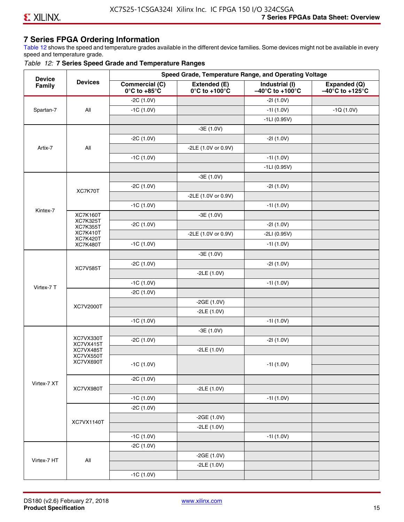### **7 Series FPGA Ordering Information**

Table 12 shows the speed and temperature grades available in the different device families. Some devices might not be available in every speed and temperature grade.

#### *Table 12:* **7 Series Speed Grade and Temperature Ranges**

| <b>Device</b> |                                    |                                                        |                                                    | Speed Grade, Temperature Range, and Operating Voltage  |                                                      |
|---------------|------------------------------------|--------------------------------------------------------|----------------------------------------------------|--------------------------------------------------------|------------------------------------------------------|
| Family        | <b>Devices</b>                     | <b>Commercial (C)</b><br>$0^\circ$ C to +85 $^\circ$ C | Extended (E)<br>$0^{\circ}$ C to +100 $^{\circ}$ C | Industrial (I)<br>$-40^{\circ}$ C to +100 $^{\circ}$ C | Expanded (Q)<br>$-40^{\circ}$ C to +125 $^{\circ}$ C |
|               |                                    | $-2C(1.0V)$                                            |                                                    | $-21(1.0V)$                                            |                                                      |
| Spartan-7     | All                                | $-1C(1.0V)$                                            |                                                    | $-11(1.0V)$                                            | $-1Q(1.0V)$                                          |
|               |                                    |                                                        |                                                    | $-1LI(0.95V)$                                          |                                                      |
|               |                                    |                                                        | $-3E(1.0V)$                                        |                                                        |                                                      |
|               |                                    | $-2C(1.0V)$                                            |                                                    | $-21(1.0V)$                                            |                                                      |
| Artix-7       | All                                |                                                        | -2LE (1.0V or 0.9V)                                |                                                        |                                                      |
|               |                                    | $-1C(1.0V)$                                            |                                                    | $-11(1.0V)$                                            |                                                      |
|               |                                    |                                                        |                                                    | $-1LI(0.95V)$                                          |                                                      |
|               |                                    |                                                        | $-3E(1.0V)$                                        |                                                        |                                                      |
|               | XC7K70T                            | $-2C(1.0V)$                                            |                                                    | $-21(1.0V)$                                            |                                                      |
|               |                                    |                                                        | -2LE (1.0V or 0.9V)                                |                                                        |                                                      |
|               |                                    | $-1C(1.0V)$                                            |                                                    | $-11(1.0V)$                                            |                                                      |
| Kintex-7      | <b>XC7K160T</b>                    |                                                        | $-3E(1.0V)$                                        |                                                        |                                                      |
|               | <b>XC7K325T</b><br><b>XC7K355T</b> | $-2C(1.0V)$                                            |                                                    | $-21(1.0V)$                                            |                                                      |
|               | <b>XC7K410T</b>                    |                                                        | -2LE (1.0V or 0.9V)                                | $-2LI(0.95V)$                                          |                                                      |
|               | <b>XC7K420T</b><br><b>XC7K480T</b> | $-1C(1.0V)$                                            |                                                    | $-11(1.0V)$                                            |                                                      |
|               |                                    |                                                        | $-3E(1.0V)$                                        |                                                        |                                                      |
|               |                                    | $-2C(1.0V)$                                            |                                                    | $-21(1.0V)$                                            |                                                      |
|               | <b>XC7V585T</b>                    |                                                        | $-2LE(1.0V)$                                       |                                                        |                                                      |
|               |                                    | $-1C(1.0V)$                                            |                                                    | $-11(1.0V)$                                            |                                                      |
| Virtex-7 T    |                                    | $-2C(1.0V)$                                            |                                                    |                                                        |                                                      |
|               |                                    |                                                        | $-2GE(1.0V)$                                       |                                                        |                                                      |
|               | XC7V2000T                          |                                                        | $-2LE(1.0V)$                                       |                                                        |                                                      |
|               |                                    | $-1C(1.0V)$                                            |                                                    | $-11(1.0V)$                                            |                                                      |
|               |                                    |                                                        | $-3E(1.0V)$                                        |                                                        |                                                      |
|               | XC7VX330T                          | $-2C(1.0V)$                                            |                                                    | $-21(1.0V)$                                            |                                                      |
|               | XC7VX415T<br>XC7VX485T             |                                                        | $-2LE(1.0V)$                                       |                                                        |                                                      |
|               | XC7VX550T<br>XC7VX690T             |                                                        |                                                    |                                                        |                                                      |
|               |                                    | $-1C(1.0V)$                                            |                                                    | $-11(1.0V)$                                            |                                                      |
|               |                                    | $-2C(1.0V)$                                            |                                                    |                                                        |                                                      |
| Virtex-7 XT   | XC7VX980T                          |                                                        | $-2LE(1.0V)$                                       |                                                        |                                                      |
|               |                                    | $-1C(1.0V)$                                            |                                                    | $-11(1.0V)$                                            |                                                      |
|               |                                    | $-2C(1.0V)$                                            |                                                    |                                                        |                                                      |
|               |                                    |                                                        | $-2GE(1.0V)$                                       |                                                        |                                                      |
|               | XC7VX1140T                         |                                                        | $-2LE(1.0V)$                                       |                                                        |                                                      |
|               |                                    | $-1C(1.0V)$                                            |                                                    | $-11(1.0V)$                                            |                                                      |
|               |                                    | $-2C(1.0V)$                                            |                                                    |                                                        |                                                      |
|               |                                    |                                                        | $-2GE(1.0V)$                                       |                                                        |                                                      |
| Virtex-7 HT   | All                                |                                                        | $-2LE(1.0V)$                                       |                                                        |                                                      |
|               |                                    | $-1C(1.0V)$                                            |                                                    |                                                        |                                                      |
|               |                                    |                                                        |                                                    |                                                        |                                                      |

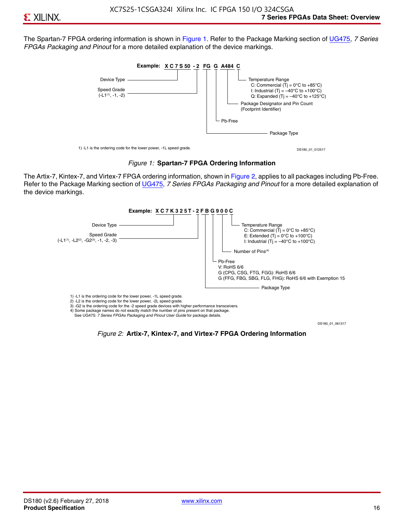The Spartan-7 FPGA ordering information is shown in Figure 1. Refer to the Package Marking section of [UG475,](http://www.xilinx.com/support/documentation/user_guides/ug475_7Series_Pkg_Pinout.pdf) *7 Series FPGAs Packaging and Pinout* for a more detailed explanation of the device markings.





The Artix-7, Kintex-7, and Virtex-7 FPGA ordering information, shown in Figure 2, applies to all packages including Pb-Free. Refer to the Package Marking section of [UG475](http://www.xilinx.com/support/documentation/user_guides/ug475_7Series_Pkg_Pinout.pdf), *7 Series FPGAs Packaging and Pinout* for a more detailed explanation of the device markings.



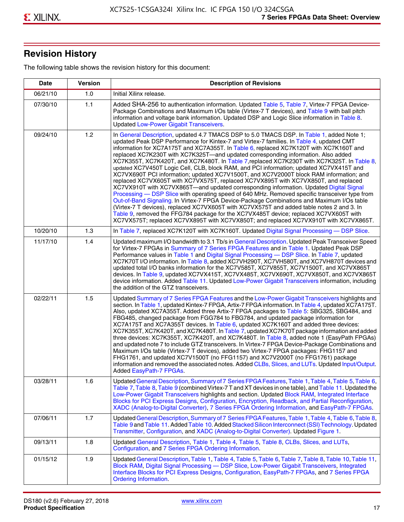## **Revision History**

The following table shows the revision history for this document:

| <b>Date</b> | <b>Version</b> | <b>Description of Revisions</b>                                                                                                                                                                                                                                                                                                                                                                                                                                                                                                                                                                                                                                                                                                                                                                                                                                                                                                                                                                                                                                                                                                                                                                                                                                                                                       |
|-------------|----------------|-----------------------------------------------------------------------------------------------------------------------------------------------------------------------------------------------------------------------------------------------------------------------------------------------------------------------------------------------------------------------------------------------------------------------------------------------------------------------------------------------------------------------------------------------------------------------------------------------------------------------------------------------------------------------------------------------------------------------------------------------------------------------------------------------------------------------------------------------------------------------------------------------------------------------------------------------------------------------------------------------------------------------------------------------------------------------------------------------------------------------------------------------------------------------------------------------------------------------------------------------------------------------------------------------------------------------|
| 06/21/10    | 1.0            | Initial Xilinx release.                                                                                                                                                                                                                                                                                                                                                                                                                                                                                                                                                                                                                                                                                                                                                                                                                                                                                                                                                                                                                                                                                                                                                                                                                                                                                               |
| 07/30/10    | 1.1            | Added SHA-256 to authentication information. Updated Table 5, Table 7, Virtex-7 FPGA Device-<br>Package Combinations and Maximum I/Os table (Virtex-7 T devices), and Table 9 with ball pitch<br>information and voltage bank information. Updated DSP and Logic Slice information in Table 8.<br><b>Updated Low-Power Gigabit Transceivers.</b>                                                                                                                                                                                                                                                                                                                                                                                                                                                                                                                                                                                                                                                                                                                                                                                                                                                                                                                                                                      |
| 09/24/10    | 1.2            | In General Description, updated 4.7 TMACS DSP to 5.0 TMACS DSP. In Table 1, added Note 1;<br>updated Peak DSP Performance for Kintex-7 and Virtex-7 families. In Table 4, updated CMT<br>information for XC7A175T and XC7A355T. In Table 6, replaced XC7K120T with XC7K160T and<br>replaced XC7K230T with XC7K325T-and updated corresponding information. Also added<br>XC7K355T, XC7K420T, and XC7K480T. In Table 7, replaced XC7K230T with XC7K325T. In Table 8,<br>updated XC7V450T Logic Cell, CLB, block RAM, and PCI information; updated XC7VX415T and<br>XC7VX690T PCI information; updated XC7V1500T, and XC7V2000T block RAM information; and<br>replaced XC7VX605T with XC7VX575T, replaced XC7VX895T with XC7VX850T, and replaced<br>XC7VX910T with XC7VX865T—and updated corresponding information. Updated Digital Signal<br>Processing - DSP Slice with operating speed of 640 MHz. Removed specific transceiver type from<br>Out-of-Band Signaling. In Virtex-7 FPGA Device-Package Combinations and Maximum I/Os table<br>(Virtex-7 T devices), replaced XC7VX605T with XC7VX575T and added table notes 2 and 3. In<br>Table 9, removed the FFG784 package for the XC7VX485T device; replaced XC7VX605T with<br>XC7VX575T; replaced XC7VX895T with XC7VX850T; and replaced XC7VX910T with XC7VX865T. |
| 10/20/10    | 1.3            | In Table 7, replaced XC7K120T with XC7K160T. Updated Digital Signal Processing - DSP Slice.                                                                                                                                                                                                                                                                                                                                                                                                                                                                                                                                                                                                                                                                                                                                                                                                                                                                                                                                                                                                                                                                                                                                                                                                                           |
| 11/17/10    | 1.4            | Updated maximum I/O bandwidth to 3.1 Tb/s in General Description. Updated Peak Transceiver Speed<br>for Virtex-7 FPGAs in Summary of 7 Series FPGA Features and in Table 1. Updated Peak DSP<br>Performance values in Table 1 and Digital Signal Processing - DSP Slice. In Table 7, updated<br>XC7K70T I/O information. In Table 8, added XC7VH290T, XC7VH580T, and XC7VH870T devices and<br>updated total I/O banks information for the XC7V585T, XC7V855T, XC7V1500T, and XC7VX865T<br>devices. In Table 9, updated XC7VX415T, XC7VX485T, XC7VX690T, XC7VX850T, and XC7VX865T<br>device information. Added Table 11. Updated Low-Power Gigabit Transceivers information, including<br>the addition of the GTZ transceivers.                                                                                                                                                                                                                                                                                                                                                                                                                                                                                                                                                                                        |
| 02/22/11    | 1.5            | Updated Summary of 7 Series FPGA Features and the Low-Power Gigabit Transceivers highlights and<br>section. In Table 1, updated Kintex-7 FPGA, Artix-7 FPGA information. In Table 4, updated XC7A175T.<br>Also, updated XC7A355T. Added three Artix-7 FPGA packages to Table 5: SBG325, SBG484, and<br>FBG485, changed package from FGG784 to FBG784, and updated package information for<br>XC7A175T and XC7A355T devices. In Table 6, updated XC7K160T and added three devices:<br>XC7K355T, XC7K420T, and XC7K480T. In Table 7, updated XC7K70T package information and added<br>three devices: XC7K355T, XC7K420T, and XC7K480T. In Table 8, added note 1 (EasyPath FPGAs)<br>and updated note 7 to include GTZ transceivers. In Virtex-7 FPGA Device-Package Combinations and<br>Maximum I/Os table (Virtex-7 T devices), added two Virtex-7 FPGA packages: FHG1157 and<br>FHG1761, and updated XC7V1500T (no FFG1157) and XC7V2000T (no FFG1761) package<br>information and removed the associated notes. Added CLBs, Slices, and LUTs. Updated Input/Output.<br>Added EasyPath-7 FPGAs.                                                                                                                                                                                                                        |
| 03/28/11    | 1.6            | Updated General Description, Summary of 7 Series FPGA Features, Table 1, Table 4, Table 5, Table 6,<br>Table 7, Table 8, Table 9 (combined Virtex-7 T and XT devices in one table), and Table 11. Updated the<br>Low-Power Gigabit Transceivers highlights and section. Updated Block RAM, Integrated Interface<br>Blocks for PCI Express Designs, Configuration, Encryption, Readback, and Partial Reconfiguration,<br>XADC (Analog-to-Digital Converter), 7 Series FPGA Ordering Information, and EasyPath-7 FPGAs.                                                                                                                                                                                                                                                                                                                                                                                                                                                                                                                                                                                                                                                                                                                                                                                                 |
| 07/06/11    | 1.7            | Updated General Description, Summary of 7 Series FPGA Features, Table 1, Table 4, Table 6, Table 8,<br>Table 9 and Table 11. Added Table 10. Added Stacked Silicon Interconnect (SSI) Technology. Updated<br>Transmitter, Configuration, and XADC (Analog-to-Digital Converter). Updated Figure 1.                                                                                                                                                                                                                                                                                                                                                                                                                                                                                                                                                                                                                                                                                                                                                                                                                                                                                                                                                                                                                    |
| 09/13/11    | 1.8            | Updated General Description, Table 1, Table 4, Table 5, Table 8, CLBs, Slices, and LUTs,<br>Configuration, and 7 Series FPGA Ordering Information.                                                                                                                                                                                                                                                                                                                                                                                                                                                                                                                                                                                                                                                                                                                                                                                                                                                                                                                                                                                                                                                                                                                                                                    |
| 01/15/12    | 1.9            | Updated General Description, Table 1, Table 4, Table 5, Table 6, Table 7, Table 8, Table 10, Table 11,<br>Block RAM, Digital Signal Processing - DSP Slice, Low-Power Gigabit Transceivers, Integrated<br>Interface Blocks for PCI Express Designs, Configuration, EasyPath-7 FPGAs, and 7 Series FPGA<br><b>Ordering Information.</b>                                                                                                                                                                                                                                                                                                                                                                                                                                                                                                                                                                                                                                                                                                                                                                                                                                                                                                                                                                                |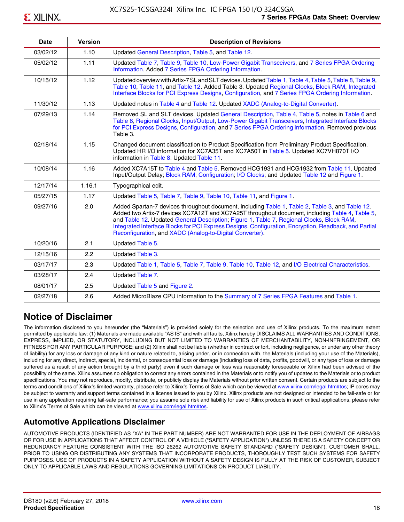| <b>Date</b> | <b>Version</b> | <b>Description of Revisions</b>                                                                                                                                                                                                                                                                                                                                                                                                                                     |
|-------------|----------------|---------------------------------------------------------------------------------------------------------------------------------------------------------------------------------------------------------------------------------------------------------------------------------------------------------------------------------------------------------------------------------------------------------------------------------------------------------------------|
| 03/02/12    | 1.10           | Updated General Description, Table 5, and Table 12.                                                                                                                                                                                                                                                                                                                                                                                                                 |
| 05/02/12    | 1.11           | Updated Table 7, Table 9, Table 10, Low-Power Gigabit Transceivers, and 7 Series FPGA Ordering<br>Information. Added 7 Series FPGA Ordering Information.                                                                                                                                                                                                                                                                                                            |
| 10/15/12    | 1.12           | Updated overview with Artix-7 SL and SLT devices. Updated Table 1, Table 4, Table 5, Table 8, Table 9,<br>Table 10, Table 11, and Table 12. Added Table 3. Updated Regional Clocks, Block RAM, Integrated<br>Interface Blocks for PCI Express Designs, Configuration, and 7 Series FPGA Ordering Information.                                                                                                                                                       |
| 11/30/12    | 1.13           | Updated notes in Table 4 and Table 12. Updated XADC (Analog-to-Digital Converter).                                                                                                                                                                                                                                                                                                                                                                                  |
| 07/29/13    | 1.14           | Removed SL and SLT devices. Updated General Description, Table 4, Table 5, notes in Table 6 and<br>Table 8, Regional Clocks, Input/Output, Low-Power Gigabit Transceivers, Integrated Interface Blocks<br>for PCI Express Designs, Configuration, and 7 Series FPGA Ordering Information. Removed previous<br>Table 3.                                                                                                                                              |
| 02/18/14    | 1.15           | Changed document classification to Product Specification from Preliminary Product Specification.<br>Updated HR I/O information for XC7A35T and XC7A50T in Table 5. Updated XC7VH870T I/O<br>information in Table 8. Updated Table 11.                                                                                                                                                                                                                               |
| 10/08/14    | 1.16           | Added XC7A15T to Table 4 and Table 5. Removed HCG1931 and HCG1932 from Table 11. Updated<br>Input/Output Delay; Block RAM; Configuration; I/O Clocks; and Updated Table 12 and Figure 1.                                                                                                                                                                                                                                                                            |
| 12/17/14    | 1.16.1         | Typographical edit.                                                                                                                                                                                                                                                                                                                                                                                                                                                 |
| 05/27/15    | 1.17           | Updated Table 5, Table 7, Table 9, Table 10, Table 11, and Figure 1.                                                                                                                                                                                                                                                                                                                                                                                                |
| 09/27/16    | 2.0            | Added Spartan-7 devices throughout document, including Table 1, Table 2, Table 3, and Table 12.<br>Added two Artix-7 devices XC7A12T and XC7A25T throughout document, including Table 4, Table 5,<br>and Table 12. Updated General Description; Figure 1, Table 7, Regional Clocks, Block RAM,<br>Integrated Interface Blocks for PCI Express Designs, Configuration, Encryption, Readback, and Partial<br>Reconfiguration, and XADC (Analog-to-Digital Converter). |
| 10/20/16    | 2.1            | Updated Table 5.                                                                                                                                                                                                                                                                                                                                                                                                                                                    |
| 12/15/16    | 2.2            | Updated Table 3.                                                                                                                                                                                                                                                                                                                                                                                                                                                    |
| 03/17/17    | 2.3            | Updated Table 1, Table 5, Table 7, Table 9, Table 10, Table 12, and I/O Electrical Characteristics.                                                                                                                                                                                                                                                                                                                                                                 |
| 03/28/17    | 2.4            | Updated Table 7.                                                                                                                                                                                                                                                                                                                                                                                                                                                    |
| 08/01/17    | 2.5            | Updated Table 5 and Figure 2.                                                                                                                                                                                                                                                                                                                                                                                                                                       |
| 02/27/18    | 2.6            | Added MicroBlaze CPU information to the Summary of 7 Series FPGA Features and Table 1.                                                                                                                                                                                                                                                                                                                                                                              |

### **Notice of Disclaimer**

The information disclosed to you hereunder (the "Materials") is provided solely for the selection and use of Xilinx products. To the maximum extent permitted by applicable law: (1) Materials are made available "AS IS" and with all faults, Xilinx hereby DISCLAIMS ALL WARRANTIES AND CONDITIONS, EXPRESS, IMPLIED, OR STATUTORY, INCLUDING BUT NOT LIMITED TO WARRANTIES OF MERCHANTABILITY, NON-INFRINGEMENT, OR FITNESS FOR ANY PARTICULAR PURPOSE; and (2) Xilinx shall not be liable (whether in contract or tort, including negligence, or under any other theory of liability) for any loss or damage of any kind or nature related to, arising under, or in connection with, the Materials (including your use of the Materials), including for any direct, indirect, special, incidental, or consequential loss or damage (including loss of data, profits, goodwill, or any type of loss or damage suffered as a result of any action brought by a third party) even if such damage or loss was reasonably foreseeable or Xilinx had been advised of the possibility of the same. Xilinx assumes no obligation to correct any errors contained in the Materials or to notify you of updates to the Materials or to product specifications. You may not reproduce, modify, distribute, or publicly display the Materials without prior written consent. Certain products are subject to the terms and conditions of Xilinx's limited warranty, please refer to Xilinx's Terms of Sale which can be viewed at [www.xilinx.com/legal.htm#tos;](www.xilinx.com/legal.htm#tos) IP cores may be subject to warranty and support terms contained in a license issued to you by Xilinx. Xilinx products are not designed or intended to be fail-safe or for use in any application requiring fail-safe performance; you assume sole risk and liability for use of Xilinx products in such critical applications, please refer to Xilinx's Terms of Sale which can be viewed at <www.xilinx.com/legal.htm#tos>.

### **Automotive Applications Disclaimer**

AUTOMOTIVE PRODUCTS (IDENTIFIED AS "XA" IN THE PART NUMBER) ARE NOT WARRANTED FOR USE IN THE DEPLOYMENT OF AIRBAGS OR FOR USE IN APPLICATIONS THAT AFFECT CONTROL OF A VEHICLE ("SAFETY APPLICATION") UNLESS THERE IS A SAFETY CONCEPT OR REDUNDANCY FEATURE CONSISTENT WITH THE ISO 26262 AUTOMOTIVE SAFETY STANDARD ("SAFETY DESIGN"). CUSTOMER SHALL, PRIOR TO USING OR DISTRIBUTING ANY SYSTEMS THAT INCORPORATE PRODUCTS, THOROUGHLY TEST SUCH SYSTEMS FOR SAFETY PURPOSES. USE OF PRODUCTS IN A SAFETY APPLICATION WITHOUT A SAFETY DESIGN IS FULLY AT THE RISK OF CUSTOMER, SUBJECT ONLY TO APPLICABLE LAWS AND REGULATIONS GOVERNING LIMITATIONS ON PRODUCT LIABILITY.